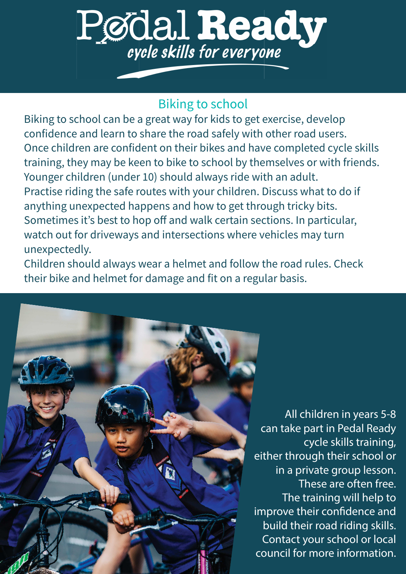# Pødal Ready

## **Biking to school**

Biking to school can be a great way for kids to get exercise, develop confidence and learn to share the road safely with other road users. Once children are confident on their bikes and have completed cycle skills training, they may be keen to bike to school by themselves or with friends. Younger children (under 10) should always ride with an adult. Practise riding the safe routes with your children. Discuss what to do if anything unexpected happens and how to get through tricky bits. Sometimes it's best to hop off and walk certain sections. In particular, watch out for driveways and intersections where vehicles may turn unexpectedly.

Children should always wear a helmet and follow the road rules. Check their bike and helmet for damage and fit on a regular basis.



All children in years 5-8 can take part in Pedal Ready cycle skills training, either through their school or in a private group lesson. These are often free. The training will help to improve their confidence and build their road riding skills. Contact your school or local council for more information.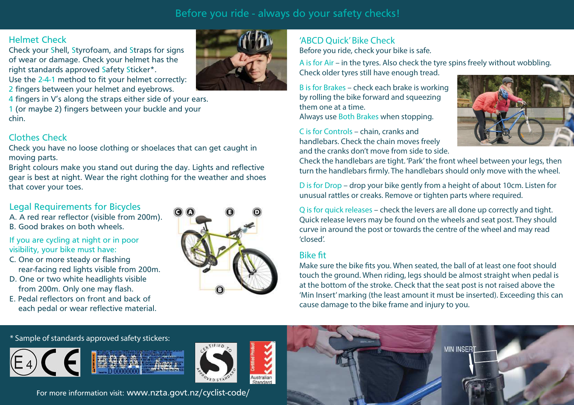## Before you ride - always do your safety checks!

## Helmet Check

 Check your Shell, Styrofoam, and Straps for signs of wear or damage. Check your helmet has the right standards approved Safety Sticker\*. Use the 2-4-1 method to fit your helmet correctly:

2 fingers between your helmet and eyebrows.

4 fingers in V's along the straps either side of your ears.

1 (or maybe 2) fingers between your buckle and your chin.

## Clothes Check

 Check you have no loose clothing or shoelaces that can get caught in moving parts.

 Bright colours make you stand out during the day. Lights and reflective gear is best at night. Wear the right clothing for the weather and shoes that cover your toes.

## Legal Requirements for Bicycles

 A. A red rear reflector (visible from 200m).B. Good brakes on both wheels.

- If you are cycling at night or in poor visibility, your bike must have:
- C. One or more steady or flashing rear-facing red lights visible from 200m.
- D. One or two white headlights visible from 200m. Only one may flash.
- E. Pedal reflectors on front and back of each pedal or wear reflective material.



#### 'ABCD Quick' Bike CheckBefore you ride, check your bike is safe.

A is for Air – in the tyres. Also check the tyre spins freely without wobbling. Check older tyres still have enough tread.

B is for Brakes – check each brake is working by rolling the bike forward and squeezing them one at a time. Always use Both Brakes when stopping.

C is for Controls – chain, cranks and handlebars. Check the chain moves freely and the cranks don't move from side to side.



Check the handlebars are tight. 'Park' the front wheel between your legs, then turn the handlebars firmly. The handlebars should only move with the wheel.

D is for Drop – drop your bike gently from a height of about 10cm. Listen for unusual rattles or creaks. Remove or tighten parts where required.

Q is for quick releases – check the levers are all done up correctly and tight. Quick release levers may be found on the wheels and seat post. They should curve in around the post or towards the centre of the wheel and may read 'closed'.

#### **Bike fit**

Make sure the bike fits you. When seated, the ball of at least one foot should touch the ground. When riding, legs should be almost straight when pedal is at the bottom of the stroke. Check that the seat post is not raised above the 'Min Insert' marking (the least amount it must be inserted). Exceeding this can cause damage to the bike frame and injury to you.

#### \* Sample of standards approved safety stickers: